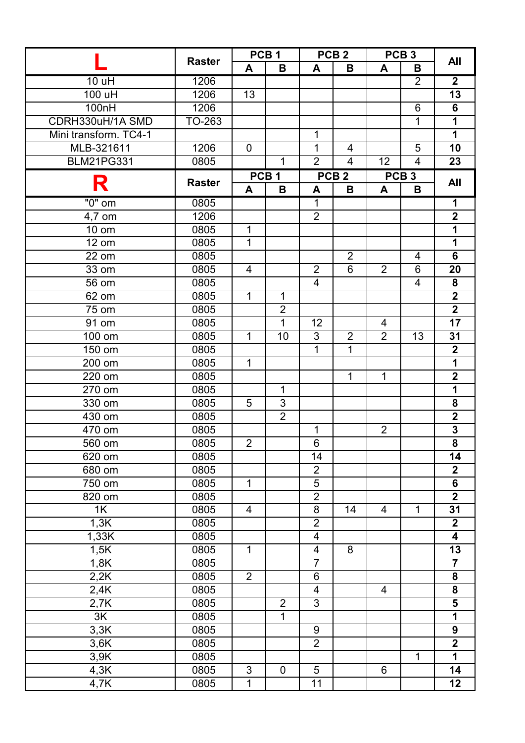|                       | <b>Raster</b> | PCB <sub>1</sub> |                  | PCB <sub>2</sub>        |                  | PCB <sub>3</sub> |                  | All                     |
|-----------------------|---------------|------------------|------------------|-------------------------|------------------|------------------|------------------|-------------------------|
|                       |               | A                | B                | A                       | B                | A                | В                |                         |
| 10 uH                 | 1206          |                  |                  |                         |                  |                  | $\overline{2}$   | $\overline{\mathbf{2}}$ |
| 100 uH                | 1206          | 13               |                  |                         |                  |                  |                  | 13                      |
| 100nH                 | 1206          |                  |                  |                         |                  |                  | 6                | 6                       |
| CDRH330uH/1A SMD      | TO-263        |                  |                  |                         |                  |                  | 1                | 1                       |
| Mini transform. TC4-1 |               |                  |                  | $\mathbf 1$             |                  |                  |                  | 1                       |
| MLB-321611            | 1206          | $\mathbf 0$      |                  | 1                       | 4                |                  | 5                | 10                      |
| <b>BLM21PG331</b>     | 0805          |                  | $\mathbf{1}$     | $\overline{2}$          | $\overline{4}$   | 12               | $\overline{4}$   | 23                      |
| R                     | <b>Raster</b> |                  | PCB <sub>1</sub> |                         | PCB <sub>2</sub> |                  | PCB <sub>3</sub> | <b>All</b>              |
|                       |               | A                | B                | A                       | B                | A                | B                |                         |
| $"0"$ om              | 0805          |                  |                  | $\mathbf{1}$            |                  |                  |                  | 1                       |
| 4,7 om                | 1206          |                  |                  | $\overline{2}$          |                  |                  |                  | $\overline{2}$          |
| 10 om                 | 0805          | $\mathbf{1}$     |                  |                         |                  |                  |                  | 1                       |
| $\overline{1}2$ om    | 0805          | $\overline{1}$   |                  |                         |                  |                  |                  | $\overline{1}$          |
| 22 om                 | 0805          |                  |                  |                         | $\overline{2}$   |                  | $\overline{4}$   | 6                       |
| 33 om                 | 0805          | $\overline{4}$   |                  | $\overline{2}$          | 6                | 2                | 6                | 20                      |
| 56 om                 | 0805          |                  |                  | $\overline{4}$          |                  |                  | $\overline{4}$   | 8                       |
| 62 om                 | 0805          | $\mathbf{1}$     | $\mathbf 1$      |                         |                  |                  |                  | $\overline{\mathbf{2}}$ |
| $75 \text{ om}$       | 0805          |                  | $\overline{2}$   |                         |                  |                  |                  | $\overline{2}$          |
| $\overline{9}1$ om    | 0805          |                  | $\mathbf{1}$     | 12                      |                  | 4                |                  | 17                      |
| 100 om                | 0805          | $\mathbf{1}$     | 10               | 3                       | $\overline{2}$   | $\overline{2}$   | 13               | 31                      |
| 150 om                | 0805          |                  |                  | 1                       | $\mathbf 1$      |                  |                  | $\overline{2}$          |
| 200 om                | 0805          | $\mathbf{1}$     |                  |                         |                  |                  |                  | $\overline{1}$          |
| 220 om                | 0805          |                  |                  |                         | $\mathbf{1}$     | $\mathbf{1}$     |                  | $\overline{\mathbf{2}}$ |
| 270 om                | 0805          |                  | $\mathbf{1}$     |                         |                  |                  |                  | $\overline{1}$          |
| 330 om                | 0805          | 5                | 3                |                         |                  |                  |                  | 8                       |
| 430 om                | 0805          |                  | $\overline{2}$   |                         |                  |                  |                  | $\overline{\mathbf{2}}$ |
| 470 om                | 0805          |                  |                  | 1                       |                  | $\overline{2}$   |                  | $\overline{\mathbf{3}}$ |
| 560 om                | 0805          | $\overline{2}$   |                  | $\overline{6}$          |                  |                  |                  | $\overline{\mathbf{8}}$ |
| 620 om                | 0805          |                  |                  | 14                      |                  |                  |                  | 14                      |
| 680 om                | 0805          |                  |                  | $\overline{2}$          |                  |                  |                  | $\mathbf 2$             |
| 750 om                | 0805          | $\mathbf{1}$     |                  | 5                       |                  |                  |                  | 6                       |
| 820 om                | 0805          |                  |                  | $\overline{2}$          |                  |                  |                  | $\overline{\mathbf{2}}$ |
| 1K                    | 0805          | $\overline{4}$   |                  | 8                       | 14               | 4                | $\mathbf{1}$     | 31                      |
| 1,3K                  | 0805          |                  |                  | $\overline{2}$          |                  |                  |                  | $\mathbf 2$             |
| 1,33K                 | 0805          |                  |                  | $\overline{\mathbf{4}}$ |                  |                  |                  | $\overline{\mathbf{4}}$ |
| 1,5K                  | 0805          | $\mathbf{1}$     |                  | $\overline{\mathbf{4}}$ | 8                |                  |                  | 13                      |
| 1,8K                  | 0805          |                  |                  | $\overline{7}$          |                  |                  |                  | $\overline{\mathbf{7}}$ |
| 2,2K                  | 0805          | $\overline{2}$   |                  | $\,6$                   |                  |                  |                  | 8                       |
| 2,4K                  | 0805          |                  |                  | $\overline{4}$          |                  | $\overline{4}$   |                  | $\overline{\mathbf{8}}$ |
| 2,7K                  | 0805          |                  | $\overline{2}$   | $\overline{3}$          |                  |                  |                  | $\overline{\mathbf{5}}$ |
| 3K                    | 0805          |                  | $\mathbf{1}$     |                         |                  |                  |                  | 1                       |
| 3,3K                  | 0805          |                  |                  | 9                       |                  |                  |                  | $\boldsymbol{9}$        |
| 3,6K                  | 0805          |                  |                  | $\overline{2}$          |                  |                  |                  | $\overline{2}$          |
| 3,9K                  | 0805          |                  |                  |                         |                  |                  | 1                | 1                       |
| 4,3K                  | 0805          | 3                | $\mathbf 0$      | 5                       |                  | 6                |                  | 14                      |
| 4,7K                  | 0805          | $\mathbf{1}$     |                  | 11                      |                  |                  |                  | 12                      |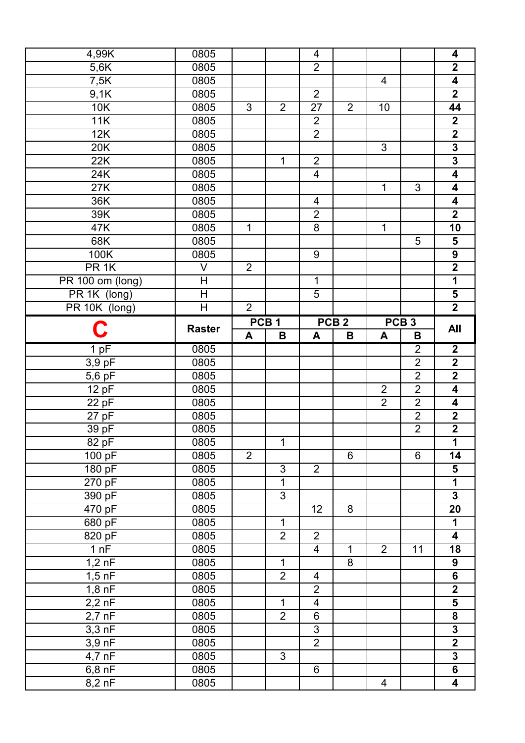| 4,99K                        | 0805                      |                |                  | 4                       |                  |                |                  | 4                                                  |
|------------------------------|---------------------------|----------------|------------------|-------------------------|------------------|----------------|------------------|----------------------------------------------------|
| 5,6K                         | 0805                      |                |                  | $\overline{2}$          |                  |                |                  | $\overline{\mathbf{2}}$                            |
| 7,5K                         | 0805                      |                |                  |                         |                  | 4              |                  | $\overline{\mathbf{4}}$                            |
| 9,1K                         | 0805                      |                |                  | $\overline{2}$          |                  |                |                  | $\overline{\mathbf{2}}$                            |
| 10K                          | 0805                      | 3              | $\overline{2}$   | 27                      | $\overline{2}$   | 10             |                  | 44                                                 |
| 11K                          | 0805                      |                |                  | $\overline{2}$          |                  |                |                  | $\boldsymbol{2}$                                   |
| 12K                          | 0805                      |                |                  | $\overline{2}$          |                  |                |                  | $\overline{2}$                                     |
| 20K                          | 0805                      |                |                  |                         |                  | 3              |                  | $\overline{\mathbf{3}}$                            |
| 22K                          | 0805                      |                | $\mathbf 1$      | $\overline{2}$          |                  |                |                  | $\overline{\mathbf{3}}$                            |
| 24K                          | 0805                      |                |                  | $\overline{\mathbf{4}}$ |                  |                |                  | $\overline{\mathbf{4}}$                            |
| 27K                          | 0805                      |                |                  |                         |                  | 1              | $\overline{3}$   | 4                                                  |
| 36K                          | 0805                      |                |                  | 4                       |                  |                |                  | 4                                                  |
| 39K                          | 0805                      |                |                  | $\overline{2}$          |                  |                |                  | $\overline{\mathbf{2}}$                            |
| 47K                          | 0805                      | 1              |                  | 8                       |                  | 1              |                  | 10                                                 |
| 68K                          | 0805                      |                |                  |                         |                  |                | 5                | 5                                                  |
| 100K                         | 0805                      |                |                  | 9                       |                  |                |                  | $\boldsymbol{9}$                                   |
| PR <sub>1K</sub>             | $\overline{\mathsf{V}}$   | $\overline{2}$ |                  |                         |                  |                |                  | $\overline{2}$                                     |
| PR 100 om (long)             | $\mathsf{H}$              |                |                  | $\mathbf 1$             |                  |                |                  | 1                                                  |
| PR 1K (long)                 | $\overline{\overline{H}}$ |                |                  | 5                       |                  |                |                  | 5                                                  |
| PR 10K (long)                | H                         | $\overline{2}$ |                  |                         |                  |                |                  | $\overline{\mathbf{2}}$                            |
|                              |                           |                | PCB <sub>1</sub> |                         | PCB <sub>2</sub> |                | PCB <sub>3</sub> |                                                    |
| C                            | <b>Raster</b>             | A              | B                | A                       | B                | A              | B                | <b>All</b>                                         |
| 1pF                          | 0805                      |                |                  |                         |                  |                | $\overline{2}$   | $\mathbf{2}$                                       |
| $3,9$ pF                     | 0805                      |                |                  |                         |                  |                | $\overline{2}$   | $\overline{\mathbf{2}}$                            |
|                              |                           |                |                  |                         |                  |                |                  |                                                    |
| $5,6$ pF                     | 0805                      |                |                  |                         |                  |                | $\overline{2}$   | $\overline{\mathbf{2}}$                            |
| 12 pF                        | 0805                      |                |                  |                         |                  | $\overline{2}$ | $\overline{2}$   | 4                                                  |
| 22pF                         | 0805                      |                |                  |                         |                  | $\overline{2}$ | $\overline{2}$   | 4                                                  |
| $27$ pF                      | 0805                      |                |                  |                         |                  |                | $\overline{2}$   | $\mathbf 2$                                        |
| 39pF                         | 0805                      |                |                  |                         |                  |                | $\overline{2}$   | $\overline{\mathbf{2}}$                            |
| 82 pF                        | 0805                      |                | $\mathbf 1$      |                         |                  |                |                  | $\overline{\mathbf{1}}$                            |
| 100 pF                       | 0805                      | $\overline{2}$ |                  |                         | 6                |                | 6                | 14                                                 |
| 180 pF                       | 0805                      |                | $\mathfrak{S}$   | $\overline{2}$          |                  |                |                  | 5                                                  |
| 270 pF                       | 0805                      |                | $\mathbf 1$      |                         |                  |                |                  | $\overline{1}$                                     |
| 390 pF                       | 0805                      |                | $\overline{3}$   |                         |                  |                |                  | $\overline{\mathbf{3}}$                            |
| 470 pF                       | 0805                      |                |                  | 12                      | 8                |                |                  | 20                                                 |
| 680 pF                       | 0805                      |                | $\mathbf 1$      |                         |                  |                |                  | $\overline{\mathbf{1}}$                            |
| 820 pF                       | 0805                      |                | $\overline{2}$   | $\overline{2}$          |                  |                |                  | $\overline{\mathbf{4}}$                            |
| 1 nF                         | 0805                      |                |                  | $\overline{\mathbf{4}}$ | $\mathbf{1}$     | $\overline{2}$ | 11               | 18                                                 |
| $1,2\overline{nF}$           | 0805                      |                | $\mathbf{1}$     |                         | 8                |                |                  | 9                                                  |
| $1,5$ nF                     | 0805                      |                | $\overline{2}$   | 4                       |                  |                |                  | 6                                                  |
| $1,8$ nF                     | 0805                      |                |                  | $\overline{2}$          |                  |                |                  | $\overline{\mathbf{2}}$                            |
| $2,2$ nF                     | 0805                      |                | $\mathbf 1$      | $\overline{\mathbf{4}}$ |                  |                |                  | $\overline{\mathbf{5}}$                            |
| $2,7$ nF                     | 0805                      |                | $\overline{2}$   | $\,6$                   |                  |                |                  | 8                                                  |
| $3,3 \overline{nF}$          | 0805                      |                |                  | $\overline{3}$          |                  |                |                  | $\overline{\mathbf{3}}$                            |
| $3,9$ nF                     | 0805                      |                |                  | $\overline{2}$          |                  |                |                  | $\overline{2}$                                     |
| $4,7$ nF                     | 0805                      |                | $\mathfrak{S}$   |                         |                  |                |                  | $\overline{\mathbf{3}}$                            |
| $6,8$ nF<br>$8,2 \text{ nF}$ | 0805<br>0805              |                |                  | 6                       |                  | 4              |                  | $\overline{\mathbf{6}}$<br>$\overline{\mathbf{4}}$ |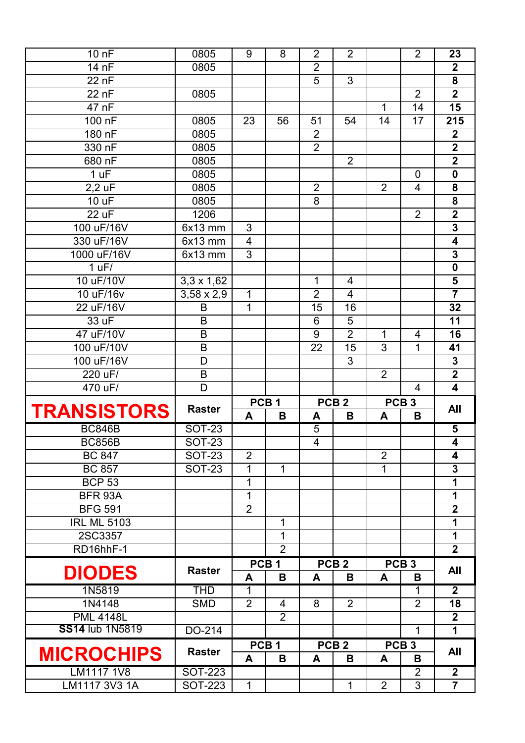| 10 nF                       | 0805                             | 9                        | 8                | $\overline{2}$ | $\overline{2}$   |                | $\overline{2}$      | 23                                        |
|-----------------------------|----------------------------------|--------------------------|------------------|----------------|------------------|----------------|---------------------|-------------------------------------------|
| 14 nF                       | 0805                             |                          |                  | $\overline{2}$ |                  |                |                     | $\mathbf{2}$                              |
| 22 nF                       |                                  |                          |                  | 5              | 3                |                |                     | $\overline{\mathbf{8}}$                   |
| 22 nF                       | 0805                             |                          |                  |                |                  |                | $\overline{2}$      | $\overline{\mathbf{2}}$                   |
| 47 nF                       |                                  |                          |                  |                |                  | $\mathbf{1}$   | 14                  | $\overline{15}$                           |
| 100 nF                      | 0805                             | 23                       | 56               | 51             | 54               | 14             | 17                  | 215                                       |
| 180 nF                      | 0805                             |                          |                  | $\overline{2}$ |                  |                |                     | $\overline{2}$                            |
| 330 nF                      | 0805                             |                          |                  | $\overline{2}$ |                  |                |                     | $\overline{\mathbf{2}}$                   |
| 680 nF                      | 0805                             |                          |                  |                | $\overline{2}$   |                |                     | $\overline{2}$                            |
| 1 uF                        | 0805                             |                          |                  |                |                  |                | 0                   | $\mathbf 0$                               |
| $2,2$ uF                    | 0805                             |                          |                  | $\overline{2}$ |                  | $\overline{2}$ | $\overline{4}$      | 8                                         |
| 10 uF                       | 0805                             |                          |                  | 8              |                  |                |                     | 8                                         |
| 22 uF                       | 1206                             |                          |                  |                |                  |                | $\overline{2}$      | $\overline{2}$                            |
| 100 uF/16V                  | 6x13 mm                          | 3                        |                  |                |                  |                |                     | $\overline{\mathbf{3}}$                   |
| 330 uF/16V                  | 6x13 mm                          | $\overline{\mathcal{A}}$ |                  |                |                  |                |                     | 4                                         |
| 1000 uF/16V                 | 6x13 mm                          | 3                        |                  |                |                  |                |                     | $\mathbf 3$                               |
| 1 uF/                       |                                  |                          |                  |                |                  |                |                     | $\overline{\mathbf{0}}$                   |
| 10 uF/10V                   | $3,3 \times 1,62$                |                          |                  | 1              | 4                |                |                     | 5                                         |
| 10 uF/16v                   | $3,58 \times 2,9$                | 1                        |                  | $\overline{2}$ | 4                |                |                     | $\overline{\mathbf{7}}$                   |
| 22 uF/16V                   | B                                | 1                        |                  | 15             | 16               |                |                     | 32                                        |
| 33 uF                       | B                                |                          |                  | 6              | 5                |                |                     | 11                                        |
| 47 uF/10V                   | B                                |                          |                  | 9              | $\overline{2}$   | 1              | 4                   | 16                                        |
| 100 uF/10V                  | B                                |                          |                  | 22             | 15               | 3              | 1                   | 41                                        |
| 100 uF/16V                  | D                                |                          |                  |                | 3                |                |                     | $\mathbf 3$                               |
|                             |                                  |                          |                  |                |                  |                |                     |                                           |
| 220 uF/                     | B                                |                          |                  |                |                  | $\overline{2}$ |                     | $\overline{2}$                            |
| 470 uF/                     | D                                |                          |                  |                |                  |                | $\overline{4}$      | 4                                         |
|                             |                                  |                          | PCB <sub>1</sub> |                | PCB <sub>2</sub> |                | PCB <sub>3</sub>    |                                           |
| <b>TRANSISTORS</b>          | <b>Raster</b>                    | A                        | B                | A              | B                | A              | B                   | <b>All</b>                                |
| <b>BC846B</b>               | <b>SOT-23</b>                    |                          |                  | 5              |                  |                |                     | 5                                         |
| <b>BC856B</b>               | <b>SOT-23</b>                    |                          |                  | $\overline{4}$ |                  |                |                     | 4                                         |
| <b>BC 847</b>               | <b>SOT-23</b>                    | $\overline{2}$           |                  |                |                  | $\overline{2}$ |                     | 4                                         |
| <b>BC 857</b>               | <b>SOT-23</b>                    | 1                        | $\mathbf{1}$     |                |                  | 1              |                     | 3                                         |
| <b>BCP 53</b>               |                                  | 1                        |                  |                |                  |                |                     | 1                                         |
| <b>BFR 93A</b>              |                                  | 1                        |                  |                |                  |                |                     | 1                                         |
| <b>BFG 591</b>              |                                  | $\overline{2}$           |                  |                |                  |                |                     | $\overline{\mathbf{2}}$                   |
| <b>IRL ML 5103</b>          |                                  |                          | $\mathbf 1$      |                |                  |                |                     | 1                                         |
| 2SC3357                     |                                  |                          | $\mathbf{1}$     |                |                  |                |                     | 1                                         |
| RD16hhF-1                   |                                  |                          | $\overline{2}$   |                |                  |                |                     | $\overline{2}$                            |
|                             |                                  |                          | PCB <sub>1</sub> |                | PCB <sub>2</sub> |                | PCB <sub>3</sub>    |                                           |
| <b>DIODES</b>               | <b>Raster</b>                    | A                        | B                | A              | B                | A              | В                   | <b>All</b>                                |
| 1N5819                      | <b>THD</b>                       | $\mathbf 1$              |                  |                |                  |                | $\overline{1}$      | $\overline{2}$                            |
| 1N4148                      | <b>SMD</b>                       | $\overline{2}$           | $\overline{4}$   | 8              | $\overline{2}$   |                | $\overline{2}$      | 18                                        |
| <b>PML 4148L</b>            |                                  |                          | $\overline{2}$   |                |                  |                |                     | $\overline{2}$                            |
| <b>SS14 lub 1N5819</b>      | DO-214                           |                          |                  |                |                  |                | $\mathbf{1}$        | $\mathbf 1$                               |
|                             |                                  |                          | PCB <sub>1</sub> |                | PCB <sub>2</sub> |                | PCB <sub>3</sub>    |                                           |
| <b>MICROCHIPS</b>           | <b>Raster</b>                    | A                        | B                | A              | B                | A              | B                   | <b>All</b>                                |
| LM1117 1V8<br>LM1117 3V3 1A | <b>SOT-223</b><br><b>SOT-223</b> | $\mathbf{1}$             |                  |                | 1                | $\overline{2}$ | $\overline{2}$<br>3 | $\overline{\mathbf{2}}$<br>$\overline{7}$ |